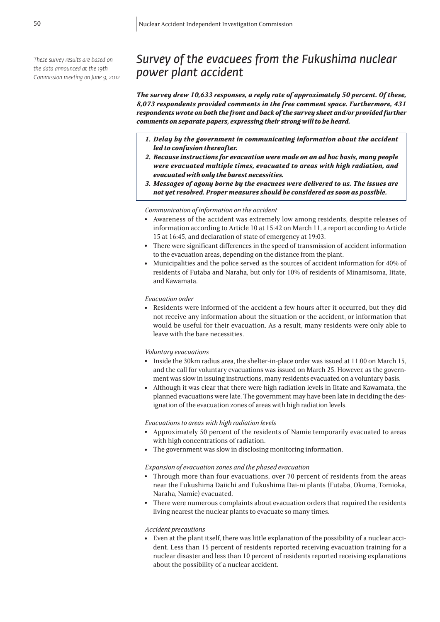*These survey results are based on the data announced at the 19th Commission meeting on June 9, 2012*

# *Survey of the evacuees from the Fukushima nuclear power plant accident*

*The survey drew 10,633 responses, a reply rate of approximately 50 percent. Of these, 8,073 respondents provided comments in the free comment space. Furthermore, 431 respondents wrote on both the front and back of the survey sheet and/or provided further comments on separate papers, expressing their strong will to be heard.*

- *1. Delay by the government in communicating information about the accident led to confusion thereafter.*
- *2. Because instructions for evacuation were made on an ad hoc basis, many people were evacuated multiple times, evacuated to areas with high radiation, and evacuated with only the barest necessities.*
- *3. Messages of agony borne by the evacuees were delivered to us. The issues are not yet resolved. Proper measures should be considered as soon as possible.*

#### *Communication of information on the accident*

- Awareness of the accident was extremely low among residents, despite releases of information according to Article 10 at 15:42 on March 11, a report according to Article 15 at 16:45, and declaration of state of emergency at 19:03.
- <sup>l</sup> There were significant differences in the speed of transmission of accident information to the evacuation areas, depending on the distance from the plant.
- <sup>l</sup> Municipalities and the police served as the sources of accident information for 40% of residents of Futaba and Naraha, but only for 10% of residents of Minamisoma, Iitate, and Kawamata.

# *Evacuation order*

<sup>l</sup> Residents were informed of the accident a few hours after it occurred, but they did not receive any information about the situation or the accident, or information that would be useful for their evacuation. As a result, many residents were only able to leave with the bare necessities.

### *Voluntary evacuations*

- Inside the 30km radius area, the shelter-in-place order was issued at 11:00 on March 15, and the call for voluntary evacuations was issued on March 25. However, as the government was slow in issuing instructions, many residents evacuated on a voluntary basis.
- Although it was clear that there were high radiation levels in Iitate and Kawamata, the planned evacuations were late. The government may have been late in deciding the designation of the evacuation zones of areas with high radiation levels.

#### *Evacuations to areas with high radiation levels*

- <sup>l</sup> Approximately 50 percent of the residents of Namie temporarily evacuated to areas with high concentrations of radiation.
- The government was slow in disclosing monitoring information.

# *Expansion of evacuation zones and the phased evacuation*

- Through more than four evacuations, over 70 percent of residents from the areas near the Fukushima Daiichi and Fukushima Dai-ni plants (Futaba, Okuma, Tomioka, Naraha, Namie) evacuated.
- <sup>l</sup> There were numerous complaints about evacuation orders that required the residents living nearest the nuclear plants to evacuate so many times.

#### *Accident precautions*

<sup>l</sup> Even at the plant itself, there was little explanation of the possibility of a nuclear accident. Less than 15 percent of residents reported receiving evacuation training for a nuclear disaster and less than 10 percent of residents reported receiving explanations about the possibility of a nuclear accident.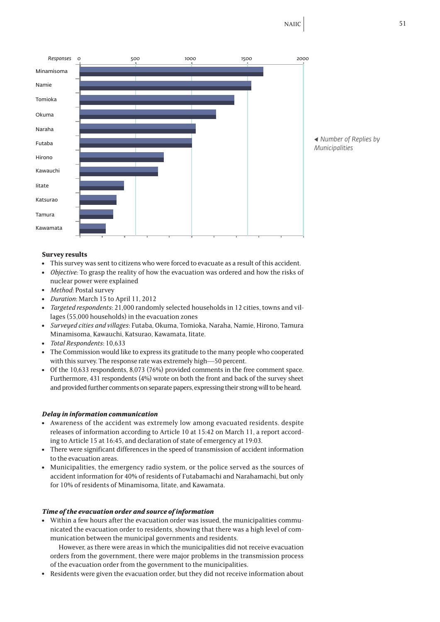

# **Survey results**

- <sup>l</sup> This survey was sent to citizens who were forced to evacuate as a result of this accident.
- *Objective:* To grasp the reality of how the evacuation was ordered and how the risks of nuclear power were explained
- Method: Postal survey
- <sup>l</sup> *Duration*: March 15 to April 11, 2012
- <sup>l</sup> *Targeted respondents*: 21,000 randomly selected households in 12 cities, towns and villages (55,000 households) in the evacuation zones
- <sup>l</sup> *Surveyed cities and villages*: Futaba, Okuma, Tomioka, Naraha, Namie, Hirono, Tamura Minamisoma, Kawauchi, Katsurao, Kawamata, Iitate.
- <sup>l</sup> *Total Respondents*: 10,633
- The Commission would like to express its gratitude to the many people who cooperated with this survey. The response rate was extremely high—50 percent.
- Of the 10,633 respondents, 8,073 (76%) provided comments in the free comment space. Furthermore, 431 respondents (4%) wrote on both the front and back of the survey sheet and provided further comments on separate papers, expressing their strong will to be heard.

# *Delay in information communication*

- Awareness of the accident was extremely low among evacuated residents. despite releases of information according to Article 10 at 15:42 on March 11, a report according to Article 15 at 16:45, and declaration of state of emergency at 19:03.
- <sup>l</sup> There were significant differences in the speed of transmission of accident information to the evacuation areas.
- Municipalities, the emergency radio system, or the police served as the sources of accident information for 40% of residents of Futabamachi and Narahamachi, but only for 10% of residents of Minamisoma, Iitate, and Kawamata.

# *Time of the evacuation order and source of information*

Within a few hours after the evacuation order was issued, the municipalities communicated the evacuation order to residents, showing that there was a high level of communication between the municipal governments and residents.

However, as there were areas in which the municipalities did not receive evacuation orders from the government, there were major problems in the transmission process of the evacuation order from the government to the municipalities.

<sup>l</sup> Residents were given the evacuation order, but they did not receive information about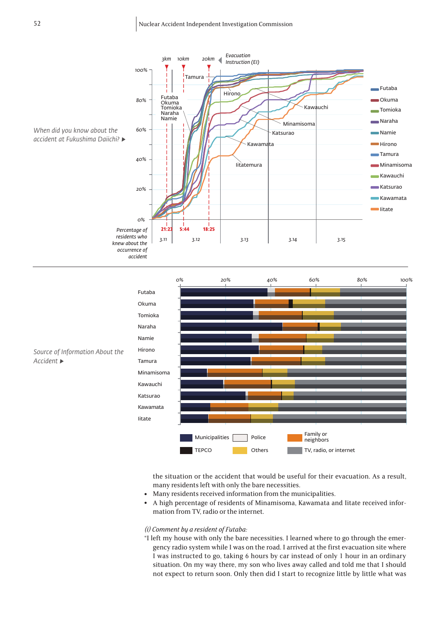





the situation or the accident that would be useful for their evacuation. As a result, many residents left with only the bare necessities.

- Many residents received information from the municipalities.
- A high percentage of residents of Minamisoma, Kawamata and Iitate received information from TV, radio or the internet.

# *(i) Comment by a resident of Futaba:*

"I left my house with only the bare necessities. I learned where to go through the emergency radio system while I was on the road. I arrived at the first evacuation site where I was instructed to go, taking 6 hours by car instead of only 1 hour in an ordinary situation. On my way there, my son who lives away called and told me that I should not expect to return soon. Only then did I start to recognize little by little what was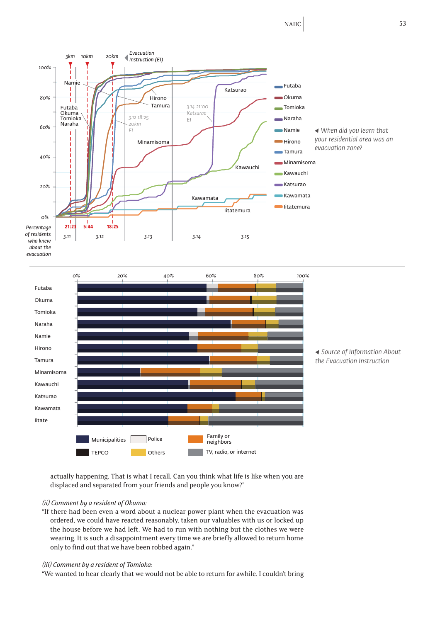NAIIC 53





*◀ Source of Information About the Evacuation Instruction*

actually happening. That is what I recall. Can you think what life is like when you are displaced and separated from your friends and people you know?"

# *(ii) Comment by a resident of Okuma:*

"If there had been even a word about a nuclear power plant when the evacuation was ordered, we could have reacted reasonably, taken our valuables with us or locked up the house before we had left. We had to run with nothing but the clothes we were wearing. It is such a disappointment every time we are briefly allowed to return home only to find out that we have been robbed again."

#### *(iii) Comment by a resident of Tomioka:*

"We wanted to hear clearly that we would not be able to return for awhile. I couldn't bring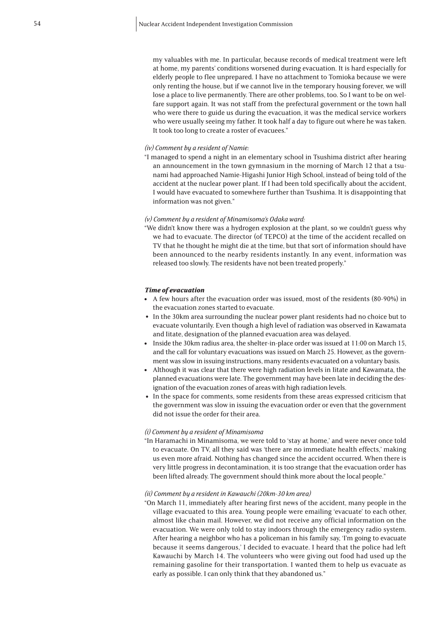my valuables with me. In particular, because records of medical treatment were left at home, my parents' conditions worsened during evacuation. It is hard especially for elderly people to flee unprepared. I have no attachment to Tomioka because we were only renting the house, but if we cannot live in the temporary housing forever, we will lose a place to live permanently. There are other problems, too. So I want to be on welfare support again. It was not staff from the prefectural government or the town hall who were there to guide us during the evacuation, it was the medical service workers who were usually seeing my father. It took half a day to figure out where he was taken. It took too long to create a roster of evacuees."

#### *(iv) Comment by a resident of Namie:*

"I managed to spend a night in an elementary school in Tsushima district after hearing an announcement in the town gymnasium in the morning of March 12 that a tsunami had approached Namie-Higashi Junior High School, instead of being told of the accident at the nuclear power plant. If I had been told specifically about the accident, I would have evacuated to somewhere further than Tsushima. It is disappointing that information was not given."

#### *(v) Comment by a resident of Minamisoma's Odaka ward:*

"We didn't know there was a hydrogen explosion at the plant, so we couldn't guess why we had to evacuate. The director (of TEPCO) at the time of the accident recalled on TV that he thought he might die at the time, but that sort of information should have been announced to the nearby residents instantly. In any event, information was released too slowly. The residents have not been treated properly."

#### *Time of evacuation*

- A few hours after the evacuation order was issued, most of the residents (80-90%) in the evacuation zones started to evacuate.
- In the 30km area surrounding the nuclear power plant residents had no choice but to evacuate voluntarily. Even though a high level of radiation was observed in Kawamata and Iitate, designation of the planned evacuation area was delayed.
- Inside the 30km radius area, the shelter-in-place order was issued at 11:00 on March 15, and the call for voluntary evacuations was issued on March 25. However, as the government was slow in issuing instructions, many residents evacuated on a voluntary basis.
- Although it was clear that there were high radiation levels in Iitate and Kawamata, the planned evacuations were late. The government may have been late in deciding the designation of the evacuation zones of areas with high radiation levels.
- In the space for comments, some residents from these areas expressed criticism that the government was slow in issuing the evacuation order or even that the government did not issue the order for their area.

# *(i) Comment by a resident of Minamisoma*

"In Haramachi in Minamisoma, we were told to 'stay at home,' and were never once told to evacuate. On TV, all they said was 'there are no immediate health effects,' making us even more afraid. Nothing has changed since the accident occurred. When there is very little progress in decontamination, it is too strange that the evacuation order has been lifted already. The government should think more about the local people."

# *(ii) Comment by a resident in Kawauchi (20km-30 km area)*

"On March 11, immediately after hearing first news of the accident, many people in the village evacuated to this area. Young people were emailing 'evacuate' to each other, almost like chain mail. However, we did not receive any official information on the evacuation. We were only told to stay indoors through the emergency radio system. After hearing a neighbor who has a policeman in his family say, 'I'm going to evacuate because it seems dangerous,' I decided to evacuate. I heard that the police had left Kawauchi by March 14. The volunteers who were giving out food had used up the remaining gasoline for their transportation. I wanted them to help us evacuate as early as possible. I can only think that they abandoned us."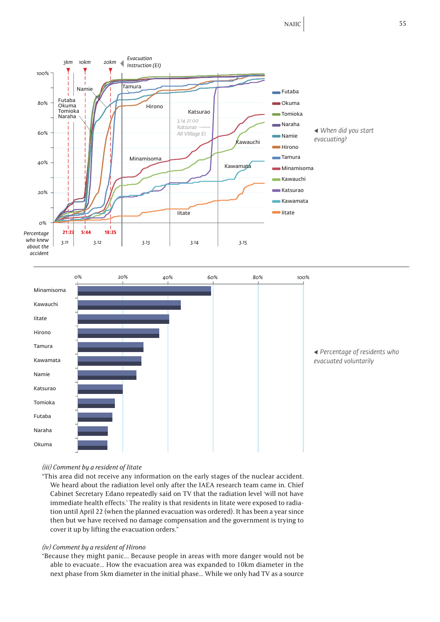NAIIC 55





# *(iii) Comment by a resident of Iitate*

"This area did not receive any information on the early stages of the nuclear accident. We heard about the radiation level only after the IAEA research team came in. Chief Cabinet Secretary Edano repeatedly said on TV that the radiation level 'will not have immediate health effects.' The reality is that residents in Iitate were exposed to radiation until April 22 (when the planned evacuation was ordered). It has been a year since then but we have received no damage compensation and the government is trying to cover it up by lifting the evacuation orders."

# *(iv) Comment by a resident of Hirono*

"Because they might panic... Because people in areas with more danger would not be able to evacuate… How the evacuation area was expanded to 10km diameter in the next phase from 5km diameter in the initial phase… While we only had TV as a source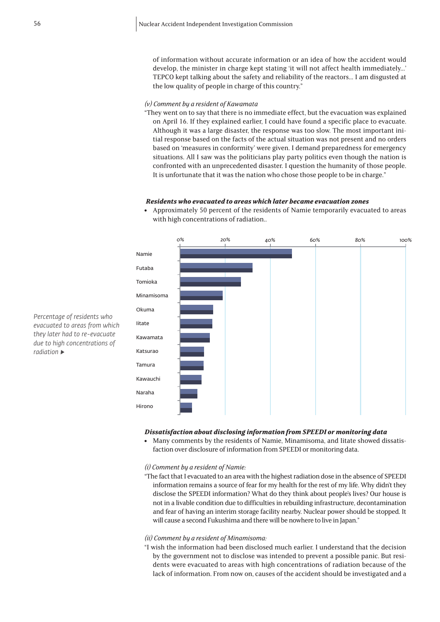of information without accurate information or an idea of how the accident would develop, the minister in charge kept stating 'it will not affect health immediately…' TEPCO kept talking about the safety and reliability of the reactors… I am disgusted at the low quality of people in charge of this country."

# *(v) Comment by a resident of Kawamata*

"They went on to say that there is no immediate effect, but the evacuation was explained on April 16. If they explained earlier, I could have found a specific place to evacuate. Although it was a large disaster, the response was too slow. The most important initial response based on the facts of the actual situation was not present and no orders based on 'measures in conformity' were given. I demand preparedness for emergency situations. All I saw was the politicians play party politics even though the nation is confronted with an unprecedented disaster. I question the humanity of those people. It is unfortunate that it was the nation who chose those people to be in charge."

## *Residents who evacuated to areas which later became evacuation zones*

<sup>l</sup> Approximately 50 percent of the residents of Namie temporarily evacuated to areas with high concentrations of radiation..



*Dissatisfaction about disclosing information from SPEEDI or monitoring data*

• Many comments by the residents of Namie, Minamisoma, and Iitate showed dissatisfaction over disclosure of information from SPEEDI or monitoring data.

*(i) Comment by a resident of Namie:*

"The fact that I evacuated to an area with the highest radiation dose in the absence of SPEEDI information remains a source of fear for my health for the rest of my life. Why didn't they disclose the SPEEDI information? What do they think about people's lives? Our house is not in a livable condition due to difficulties in rebuilding infrastructure, decontamination and fear of having an interim storage facility nearby. Nuclear power should be stopped. It will cause a second Fukushima and there will be nowhere to live in Japan."

#### *(ii) Comment by a resident of Minamisoma:*

"I wish the information had been disclosed much earlier. I understand that the decision by the government not to disclose was intended to prevent a possible panic. But residents were evacuated to areas with high concentrations of radiation because of the lack of information. From now on, causes of the accident should be investigated and a

*Percentage of residents who evacuated to areas from which they later had to re-evacuate due to high concentrations of radiation ▶*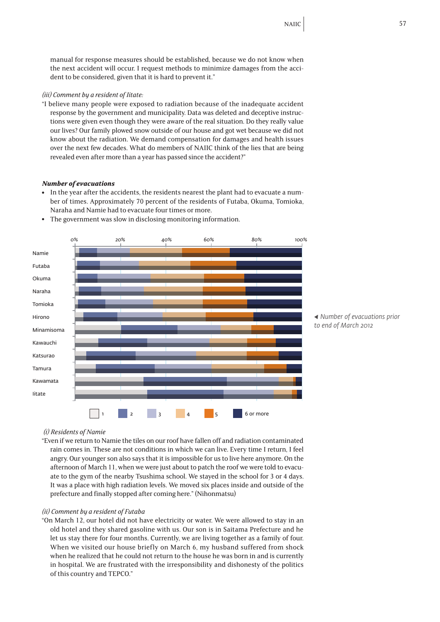manual for response measures should be established, because we do not know when the next accident will occur. I request methods to minimize damages from the accident to be considered, given that it is hard to prevent it."

# *(iii) Comment by a resident of Iitate:*

"I believe many people were exposed to radiation because of the inadequate accident response by the government and municipality. Data was deleted and deceptive instructions were given even though they were aware of the real situation. Do they really value our lives? Our family plowed snow outside of our house and got wet because we did not know about the radiation. We demand compensation for damages and health issues over the next few decades. What do members of NAIIC think of the lies that are being revealed even after more than a year has passed since the accident?"

# *Number of evacuations*

• In the year after the accidents, the residents nearest the plant had to evacuate a number of times. Approximately 70 percent of the residents of Futaba, Okuma, Tomioka, Naraha and Namie had to evacuate four times or more.



• The government was slow in disclosing monitoring information.

*◀ Number of evacuations prior* 

# *(i) Residents of Namie*

"Even if we return to Namie the tiles on our roof have fallen off and radiation contaminated rain comes in. These are not conditions in which we can live. Every time I return, I feel angry. Our younger son also says that it is impossible for us to live here anymore. On the afternoon of March 11, when we were just about to patch the roof we were told to evacuate to the gym of the nearby Tsushima school. We stayed in the school for 3 or 4 days. It was a place with high radiation levels. We moved six places inside and outside of the prefecture and finally stopped after coming here." (Nihonmatsu)

#### *(ii) Comment by a resident of Futaba*

"On March 12, our hotel did not have electricity or water. We were allowed to stay in an old hotel and they shared gasoline with us. Our son is in Saitama Prefecture and he let us stay there for four months. Currently, we are living together as a family of four. When we visited our house briefly on March 6, my husband suffered from shock when he realized that he could not return to the house he was born in and is currently in hospital. We are frustrated with the irresponsibility and dishonesty of the politics of this country and TEPCO."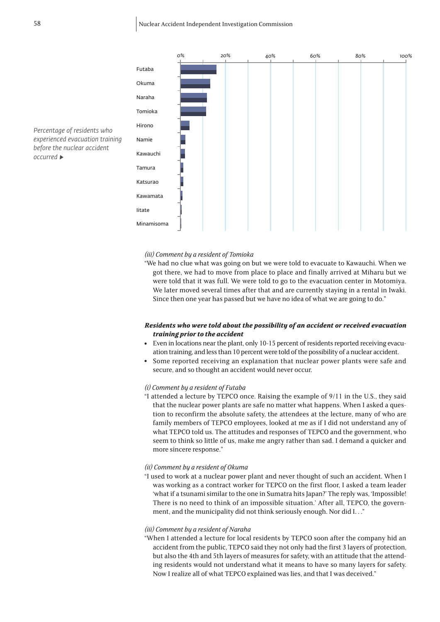

*Percentage of residents who experienced evacuation training before the nuclear accident occurred ▶*

# *(iii) Comment by a resident of Tomioka*

"We had no clue what was going on but we were told to evacuate to Kawauchi. When we got there, we had to move from place to place and finally arrived at Miharu but we were told that it was full. We were told to go to the evacuation center in Motomiya. We later moved several times after that and are currently staying in a rental in Iwaki. Since then one year has passed but we have no idea of what we are going to do."

# *Residents who were told about the possibility of an accident or received evacuation training prior to the accident*

- Even in locations near the plant, only 10-15 percent of residents reported receiving evacuation training, and less than 10 percent were told of the possibility of a nuclear accident.
- Some reported receiving an explanation that nuclear power plants were safe and secure, and so thought an accident would never occur.

# *(i) Comment by a resident of Futaba*

"I attended a lecture by TEPCO once. Raising the example of 9/11 in the U.S., they said that the nuclear power plants are safe no matter what happens. When I asked a question to reconfirm the absolute safety, the attendees at the lecture, many of who are family members of TEPCO employees, looked at me as if I did not understand any of what TEPCO told us. The attitudes and responses of TEPCO and the government, who seem to think so little of us, make me angry rather than sad. I demand a quicker and more sincere response."

# *(ii) Comment by a resident of Okuma*

"I used to work at a nuclear power plant and never thought of such an accident. When I was working as a contract worker for TEPCO on the first floor, I asked a team leader 'what if a tsunami similar to the one in Sumatra hits Japan?' The reply was, 'Impossible! There is no need to think of an impossible situation.' After all, TEPCO, the government, and the municipality did not think seriously enough. Nor did I. . ."

#### *(iii) Comment by a resident of Naraha*

"When I attended a lecture for local residents by TEPCO soon after the company hid an accident from the public, TEPCO said they not only had the first 3 layers of protection, but also the 4th and 5th layers of measures for safety, with an attitude that the attending residents would not understand what it means to have so many layers for safety. Now I realize all of what TEPCO explained was lies, and that I was deceived."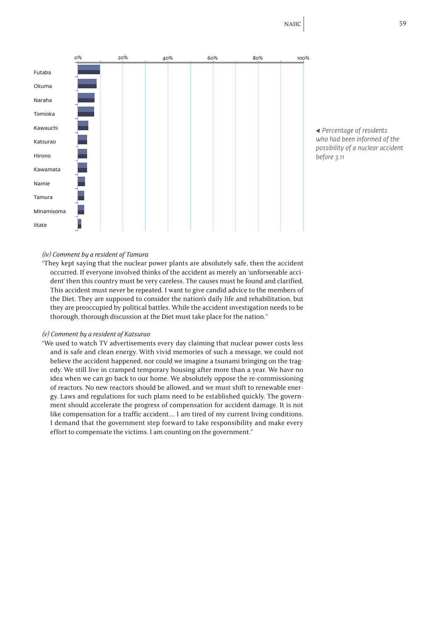

*◀ Percentage of residents who had been informed of the possibility of a nuclear accident before 3.11*

# *(iv) Comment by a resident of Tamura*

"They kept saying that the nuclear power plants are absolutely safe, then the accident occurred. If everyone involved thinks of the accident as merely an 'unforseeable accident' then this country must be very careless. The causes must be found and clarified. This accident must never be repeated. I want to give candid advice to the members of the Diet. They are supposed to consider the nation's daily life and rehabilitation, but they are preoccupied by political battles. While the accident investigation needs to be thorough, thorough discussion at the Diet must take place for the nation."

# *(v) Comment by a resident of Katsurao*

"We used to watch TV advertisements every day claiming that nuclear power costs less and is safe and clean energy. With vivid memories of such a message, we could not believe the accident happened, nor could we imagine a tsunami bringing on the tragedy. We still live in cramped temporary housing after more than a year. We have no idea when we can go back to our home. We absolutely oppose the re-commissioning of reactors. No new reactors should be allowed, and we must shift to renewable energy. Laws and regulations for such plans need to be established quickly. The government should accelerate the progress of compensation for accident damage. It is not like compensation for a traffic accident…. I am tired of my current living conditions. I demand that the government step forward to take responsibility and make every effort to compensate the victims. I am counting on the government."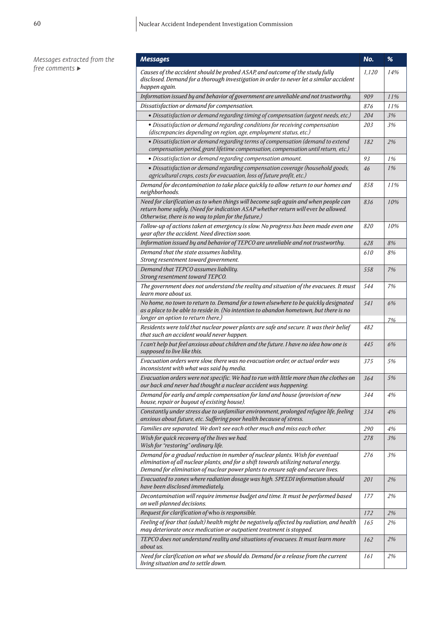| Messages extracted from the<br>free comments $\blacktriangleright$ | <b>Messages</b>                                                                                                                                                                                                                                          | No.   | $\%$  |
|--------------------------------------------------------------------|----------------------------------------------------------------------------------------------------------------------------------------------------------------------------------------------------------------------------------------------------------|-------|-------|
|                                                                    | Causes of the accident should be probed ASAP, and outcome of the study fully<br>disclosed. Demand for a thorough investigation in order to never let a similar accident<br>happen again.                                                                 | 1,120 | 14%   |
|                                                                    | Information issued by and behavior of government are unreliable and not trustworthy.                                                                                                                                                                     | 909   | 11%   |
|                                                                    | Dissatisfaction or demand for compensation.                                                                                                                                                                                                              | 876   | 11%   |
|                                                                    | · Dissatisfaction or demand regarding timing of compensation (urgent needs, etc.)                                                                                                                                                                        | 204   | 3%    |
|                                                                    | • Dissatisfaction or demand regarding conditions for receiving compensation<br>(discrepancies depending on region, age, employment status, etc.)                                                                                                         | 203   | 3%    |
|                                                                    | • Dissatisfaction or demand regarding terms of compensation (demand to extend<br>compensation period, grant lifetime compensation, compensation until return, etc.)                                                                                      | 182   | 2%    |
|                                                                    | · Dissatisfaction or demand regarding compensation amount.                                                                                                                                                                                               | 93    | 1%    |
|                                                                    | · Dissatisfaction or demand regarding compensation coverage (household goods,<br>agricultural crops, costs for evacuation, loss of future profit, etc.)                                                                                                  | 46    | 1%    |
|                                                                    | Demand for decontamination to take place quickly to allow return to our homes and<br>neighborhoods.                                                                                                                                                      | 858   | 11%   |
|                                                                    | Need for clarification as to when things will become safe again and when people can<br>return home safely. (Need for indication ASAP whether return will ever be allowed.<br>Otherwise, there is no way to plan for the future.)                         | 836   | 10%   |
|                                                                    | Follow-up of actions taken at emergency is slow. No progress has been made even one<br>year after the accident. Need direction soon.                                                                                                                     | 820   | 10%   |
|                                                                    | Information issued by and behavior of TEPCO are unreliable and not trustworthy.                                                                                                                                                                          | 628   | $8\%$ |
|                                                                    | Demand that the state assumes liability.<br>Strong resentment toward government.                                                                                                                                                                         | 610   | 8%    |
|                                                                    | Demand that TEPCO assumes liability.<br>Strong resentment toward TEPCO.                                                                                                                                                                                  | 558   | 7%    |
|                                                                    | The government does not understand the reality and situation of the evacuees. It must<br>learn more about us.                                                                                                                                            | 544   | 7%    |
|                                                                    | No home, no town to return to. Demand for a town elsewhere to be quickly designated<br>as a place to be able to reside in. (No intention to abandon hometown, but there is no<br>longer an option to return there.)                                      | 541   | 6%    |
|                                                                    | Residents were told that nuclear power plants are safe and secure. It was their belief<br>that such an accident would never happen.                                                                                                                      | 482   | 7%    |
|                                                                    | I can't help but feel anxious about children and the future. I have no idea how one is<br>supposed to live like this.                                                                                                                                    | 445   | 6%    |
|                                                                    | Evacuation orders were slow, there was no evacuation order, or actual order was<br>inconsistent with what was said by media.                                                                                                                             | 375   | 5%    |
|                                                                    | Evacuation orders were not specific. We had to run with little more than the clothes on<br>our back and never had thought a nuclear accident was happening.                                                                                              | 364   | 5%    |
|                                                                    | Demand for early and ample compensation for land and house (provision of new<br>house, repair or buyout of existing house).                                                                                                                              | 344   | 4%    |
|                                                                    | Constantly under stress due to unfamiliar environment, prolonged refugee life, feeling<br>anxious about future, etc. Suffering poor health because of stress.                                                                                            | 334   | 4%    |
|                                                                    | Families are separated. We don't see each other much and miss each other.                                                                                                                                                                                | 290   | 4%    |
|                                                                    | Wish for quick recovery of the lives we had.<br>Wish for "restoring" ordinary life.                                                                                                                                                                      | 278   | 3%    |
|                                                                    | Demand for a gradual reduction in number of nuclear plants. Wish for eventual<br>elimination of all nuclear plants, and for a shift towards utilizing natural energy.<br>Demand for elimination of nuclear power plants to ensure safe and secure lives. | 276   | 3%    |
|                                                                    | Evacuated to zones where radiation dosage was high. SPEEDI information should<br>have been disclosed immediately.                                                                                                                                        | 201   | 2%    |
|                                                                    | Decontamination will require immense budget and time. It must be performed based<br>on well-planned decisions.                                                                                                                                           | 177   | 2%    |
|                                                                    | Request for clarification of who is responsible.                                                                                                                                                                                                         | 172   | 2%    |
|                                                                    | Feeling of fear that (adult) health might be negatively affected by radiation, and health<br>may deteriorate once medication or outpatient treatment is stopped.                                                                                         | 165   | 2%    |
|                                                                    | TEPCO does not understand reality and situations of evacuees. It must learn more<br>about us.                                                                                                                                                            | 162   | 2%    |
|                                                                    | Need for clarification on what we should do. Demand for a release from the current<br>living situation and to settle down.                                                                                                                               | 161   | 2%    |